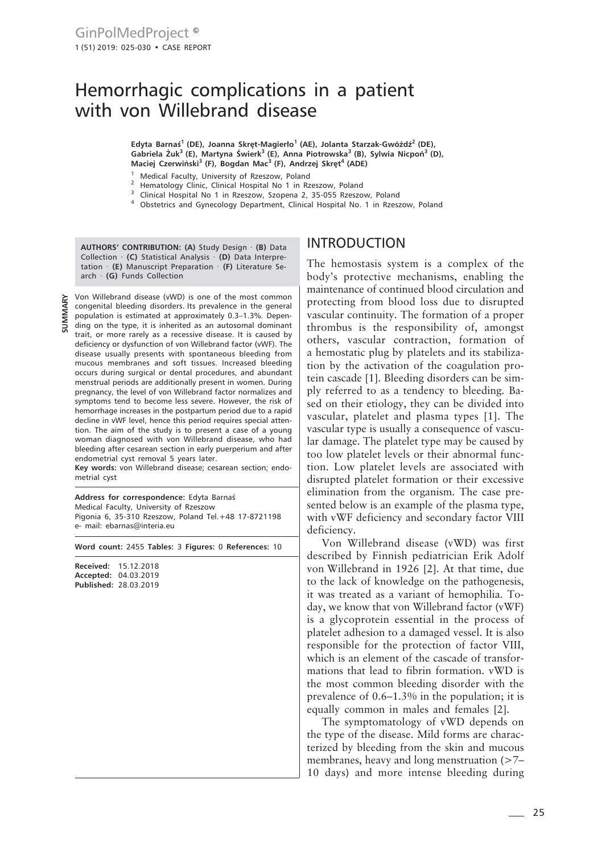# Hemorrhagic complications in a patient with von Willebrand disease

**Edyta Barnaś1 (DE), Joanna Skręt-Magierło1 (AE), Jolanta Starzak-Gwóźdź2 (DE), Gabriela Żuk3 (E), Martyna Świerk3 (E), Anna Piotrowska3 (B), Sylwia Nicpoń3 (D), Maciej Czerwiński3 (F), Bogdan Mac3 (F), Andrzej Skręt4 (ADE)**

- <sup>1</sup> Medical Faculty, University of Rzeszow, Poland
- <sup>2</sup> Hematology Clinic, Clinical Hospital No 1 in Rzeszow, Poland
- <sup>3</sup> Clinical Hospital No 1 in Rzeszow, Szopena 2, 35-055 Rzeszow, Poland
- <sup>4</sup> Obstetrics and Gynecology Department, Clinical Hospital No. 1 in Rzeszow, Poland

**AUTHORS' CONTRIBUTION: (A)** Study Design · **(B)** Data Collection · **(C)** Statistical Analysis · **(D)** Data Interpretation · **(E)** Manuscript Preparation · **(F)** Literature Search · **(G)** Funds Collection

Von Willebrand disease (vWD) is one of the most common congenital bleeding disorders. Its prevalence in the general population is estimated at approximately 0.3–1.3%. Depen- $\frac{2}{5}$  ding on the type, it is inherited as an autosomal dominant trait, or more rarely as a recessive disease. It is caused by deficiency or dysfunction of von Willebrand factor (vWF). The disease usually presents with spontaneous bleeding from mucous membranes and soft tissues. Increased bleeding occurs during surgical or dental procedures, and abundant menstrual periods are additionally present in women. During pregnancy, the level of von Willebrand factor normalizes and symptoms tend to become less severe. However, the risk of hemorrhage increases in the postpartum period due to a rapid decline in vWF level, hence this period requires special attention. The aim of the study is to present a case of a young woman diagnosed with von Willebrand disease, who had bleeding after cesarean section in early puerperium and after endometrial cyst removal 5 years later.

**Key words:** von Willebrand disease; cesarean section; endometrial cyst

**Address for correspondence:** Edyta Barnaś Medical Faculty, University of Rzeszow Pigonia 6, 35-310 Rzeszow, Poland Tel.+48 17-8721198 e- mail: ebarnas@interia.eu

**Word count:** 2455 **Tables:** 3 **Figures:** 0 **References:** 10

**Received:** 15.12.2018 **Accepted:** 04.03.2019 **Published:** 28.03.2019

### INTRODUCTION

The hemostasis system is a complex of the body's protective mechanisms, enabling the maintenance of continued blood circulation and protecting from blood loss due to disrupted vascular continuity. The formation of a proper thrombus is the responsibility of, amongst others, vascular contraction, formation of a hemostatic plug by platelets and its stabilization by the activation of the coagulation protein cascade [1]. Bleeding disorders can be simply referred to as a tendency to bleeding. Based on their etiology, they can be divided into vascular, platelet and plasma types [1]. The vascular type is usually a consequence of vascular damage. The platelet type may be caused by too low platelet levels or their abnormal function. Low platelet levels are associated with disrupted platelet formation or their excessive elimination from the organism. The case presented below is an example of the plasma type, with vWF deficiency and secondary factor VIII deficiency.

Von Willebrand disease (vWD) was first described by Finnish pediatrician Erik Adolf von Willebrand in 1926 [2]. At that time, due to the lack of knowledge on the pathogenesis, it was treated as a variant of hemophilia. Today, we know that von Willebrand factor (vWF) is a glycoprotein essential in the process of platelet adhesion to a damaged vessel. It is also responsible for the protection of factor VIII, which is an element of the cascade of transformations that lead to fibrin formation. vWD is the most common bleeding disorder with the prevalence of 0.6–1.3% in the population; it is equally common in males and females [2].

The symptomatology of vWD depends on the type of the disease. Mild forms are characterized by bleeding from the skin and mucous membranes, heavy and long menstruation (>7– 10 days) and more intense bleeding during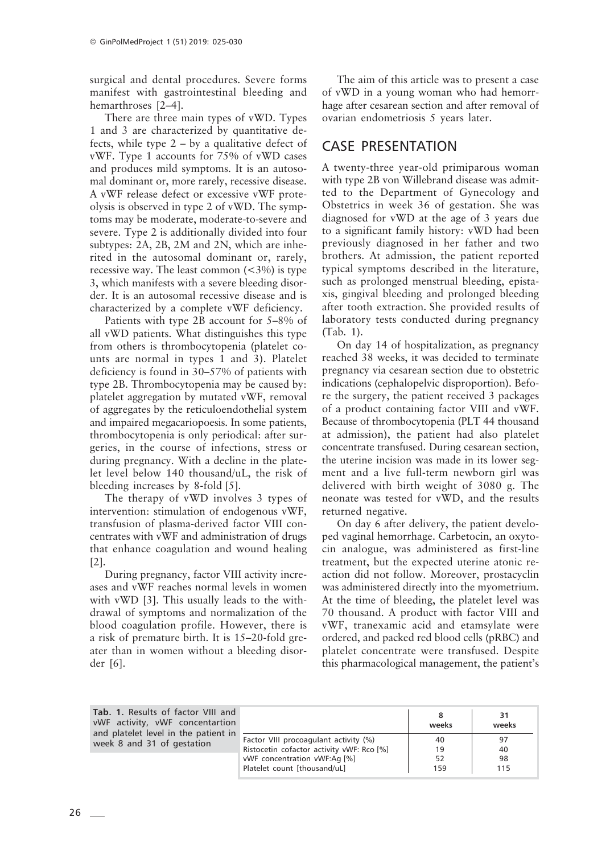surgical and dental procedures. Severe forms manifest with gastrointestinal bleeding and hemarthroses [2–4].

There are three main types of vWD. Types 1 and 3 are characterized by quantitative defects, while type  $2 - by a qualitative defect of$ vWF. Type 1 accounts for 75% of vWD cases and produces mild symptoms. It is an autosomal dominant or, more rarely, recessive disease. A vWF release defect or excessive vWF proteolysis is observed in type 2 of vWD. The symptoms may be moderate, moderate-to-severe and severe. Type 2 is additionally divided into four subtypes: 2A, 2B, 2M and 2N, which are inherited in the autosomal dominant or, rarely, recessive way. The least common  $\left( \langle 3\% \rangle \right)$  is type 3, which manifests with a severe bleeding disorder. It is an autosomal recessive disease and is characterized by a complete vWF deficiency.

Patients with type 2B account for 5–8% of all vWD patients. What distinguishes this type from others is thrombocytopenia (platelet counts are normal in types 1 and 3). Platelet deficiency is found in 30–57% of patients with type 2B. Thrombocytopenia may be caused by: platelet aggregation by mutated vWF, removal of aggregates by the reticuloendothelial system and impaired megacariopoesis. In some patients, thrombocytopenia is only periodical: after surgeries, in the course of infections, stress or during pregnancy. With a decline in the platelet level below 140 thousand/uL, the risk of bleeding increases by 8-fold [5].

The therapy of vWD involves 3 types of intervention: stimulation of endogenous vWF, transfusion of plasma-derived factor VIII concentrates with vWF and administration of drugs that enhance coagulation and wound healing  $|2|$ .

During pregnancy, factor VIII activity increases and vWF reaches normal levels in women with vWD [3]. This usually leads to the withdrawal of symptoms and normalization of the blood coagulation profile. However, there is a risk of premature birth. It is 15–20-fold greater than in women without a bleeding disorder [6].

The aim of this article was to present a case of vWD in a young woman who had hemorrhage after cesarean section and after removal of ovarian endometriosis 5 years later.

## CASE PRESENTATION

A twenty-three year-old primiparous woman with type 2B von Willebrand disease was admitted to the Department of Gynecology and Obstetrics in week 36 of gestation. She was diagnosed for vWD at the age of 3 years due to a significant family history: vWD had been previously diagnosed in her father and two brothers. At admission, the patient reported typical symptoms described in the literature, such as prolonged menstrual bleeding, epistaxis, gingival bleeding and prolonged bleeding after tooth extraction. She provided results of laboratory tests conducted during pregnancy (Tab. 1).

On day 14 of hospitalization, as pregnancy reached 38 weeks, it was decided to terminate pregnancy via cesarean section due to obstetric indications (cephalopelvic disproportion). Before the surgery, the patient received 3 packages of a product containing factor VIII and vWF. Because of thrombocytopenia (PLT 44 thousand at admission), the patient had also platelet concentrate transfused. During cesarean section, the uterine incision was made in its lower segment and a live full-term newborn girl was delivered with birth weight of 3080 g. The neonate was tested for vWD, and the results returned negative.

On day 6 after delivery, the patient developed vaginal hemorrhage. Carbetocin, an oxytocin analogue, was administered as first-line treatment, but the expected uterine atonic reaction did not follow. Moreover, prostacyclin was administered directly into the myometrium. At the time of bleeding, the platelet level was 70 thousand. A product with factor VIII and vWF, tranexamic acid and etamsylate were ordered, and packed red blood cells (pRBC) and platelet concentrate were transfused. Despite this pharmacological management, the patient's

| <b>Tab. 1.</b> Results of factor VIII and<br>vWF activity, vWF concentartion<br>and platelet level in the patient in<br>week 8 and 31 of gestation |                                                                                    | weeks     | 31<br>weeks |
|----------------------------------------------------------------------------------------------------------------------------------------------------|------------------------------------------------------------------------------------|-----------|-------------|
|                                                                                                                                                    | Factor VIII procoagulant activity (%)<br>Ristocetin cofactor activity vWF: Rco [%] | 40<br>19  | 97<br>40    |
|                                                                                                                                                    | vWF concentration vWF:Aq [%]<br>Platelet count [thousand/uL]                       | 52<br>159 | 98<br>115   |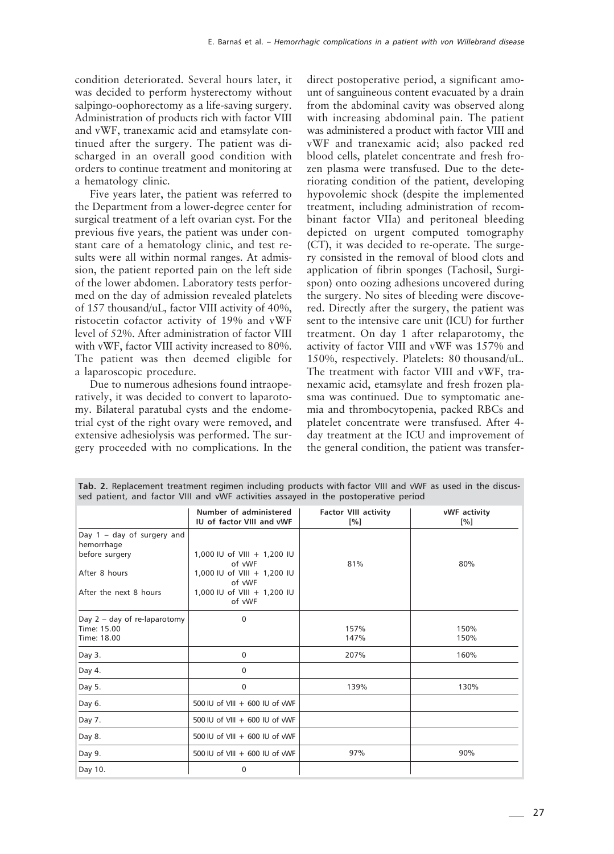condition deteriorated. Several hours later, it was decided to perform hysterectomy without salpingo-oophorectomy as a life-saving surgery. Administration of products rich with factor VIII and vWF, tranexamic acid and etamsylate continued after the surgery. The patient was discharged in an overall good condition with orders to continue treatment and monitoring at a hematology clinic.

Five years later, the patient was referred to the Department from a lower-degree center for surgical treatment of a left ovarian cyst. For the previous five years, the patient was under constant care of a hematology clinic, and test results were all within normal ranges. At admission, the patient reported pain on the left side of the lower abdomen. Laboratory tests performed on the day of admission revealed platelets of 157 thousand/uL, factor VIII activity of 40%, ristocetin cofactor activity of 19% and vWF level of 52%. After administration of factor VIII with vWF, factor VIII activity increased to 80%. The patient was then deemed eligible for a laparoscopic procedure.

Due to numerous adhesions found intraoperatively, it was decided to convert to laparotomy. Bilateral paratubal cysts and the endometrial cyst of the right ovary were removed, and extensive adhesiolysis was performed. The surgery proceeded with no complications. In the direct postoperative period, a significant amount of sanguineous content evacuated by a drain from the abdominal cavity was observed along with increasing abdominal pain. The patient was administered a product with factor VIII and vWF and tranexamic acid; also packed red blood cells, platelet concentrate and fresh frozen plasma were transfused. Due to the deteriorating condition of the patient, developing hypovolemic shock (despite the implemented treatment, including administration of recombinant factor VIIa) and peritoneal bleeding depicted on urgent computed tomography (CT), it was decided to re-operate. The surgery consisted in the removal of blood clots and application of fibrin sponges (Tachosil, Surgispon) onto oozing adhesions uncovered during the surgery. No sites of bleeding were discovered. Directly after the surgery, the patient was sent to the intensive care unit (ICU) for further treatment. On day 1 after relaparotomy, the activity of factor VIII and vWF was 157% and 150%, respectively. Platelets: 80 thousand/uL. The treatment with factor VIII and vWF, tranexamic acid, etamsylate and fresh frozen plasma was continued. Due to symptomatic anemia and thrombocytopenia, packed RBCs and platelet concentrate were transfused. After 4 day treatment at the ICU and improvement of the general condition, the patient was transfer-

| sed patient, and factor VIII and VVVF activities assayed in the postoperative period |                                                     |                                                   |                                    |  |  |  |
|--------------------------------------------------------------------------------------|-----------------------------------------------------|---------------------------------------------------|------------------------------------|--|--|--|
|                                                                                      | Number of administered<br>IU of factor VIII and vWF | <b>Factor VIII activity</b><br>$\lceil \% \rceil$ | vWF activity<br>$\lceil \% \rceil$ |  |  |  |
| Day $1 - day$ of surgery and<br>hemorrhage<br>before surgery                         | 1,000 IU of VIII + 1,200 IU                         |                                                   |                                    |  |  |  |
|                                                                                      | of vWF                                              | 81%                                               | 80%                                |  |  |  |
| After 8 hours                                                                        | 1,000 IU of VIII + 1,200 IU<br>of vWF               |                                                   |                                    |  |  |  |
| After the next 8 hours                                                               | 1,000 IU of VIII + 1,200 IU<br>of vWF               |                                                   |                                    |  |  |  |
| Day $2 - day$ of re-laparotomy                                                       | $\mathbf 0$                                         |                                                   |                                    |  |  |  |
| Time: 15.00                                                                          |                                                     | 157%                                              | 150%                               |  |  |  |
| Time: 18.00                                                                          |                                                     | 147%                                              | 150%                               |  |  |  |
| Day 3.                                                                               | $\mathbf 0$                                         | 207%                                              | 160%                               |  |  |  |
| Day 4.                                                                               | $\mathbf 0$                                         |                                                   |                                    |  |  |  |
| Day 5.                                                                               | $\mathbf 0$                                         | 139%                                              | 130%                               |  |  |  |
| Day 6.                                                                               | 500 IU of VIII + 600 IU of vWF                      |                                                   |                                    |  |  |  |
| Day 7.                                                                               | 500 IU of VIII + 600 IU of vWF                      |                                                   |                                    |  |  |  |
| Day 8.                                                                               | 500 IU of $VIII + 600$ IU of $VWF$                  |                                                   |                                    |  |  |  |
| Day 9.                                                                               | 500 IU of VIII $+$ 600 IU of vWF                    | 97%                                               | 90%                                |  |  |  |
| Day 10.                                                                              | $\mathbf 0$                                         |                                                   |                                    |  |  |  |

**Tab. 2.** Replacement treatment regimen including products with factor VIII and vWF as used in the discussed patient, and factor VIII and vWF activities assayed in the postoperative period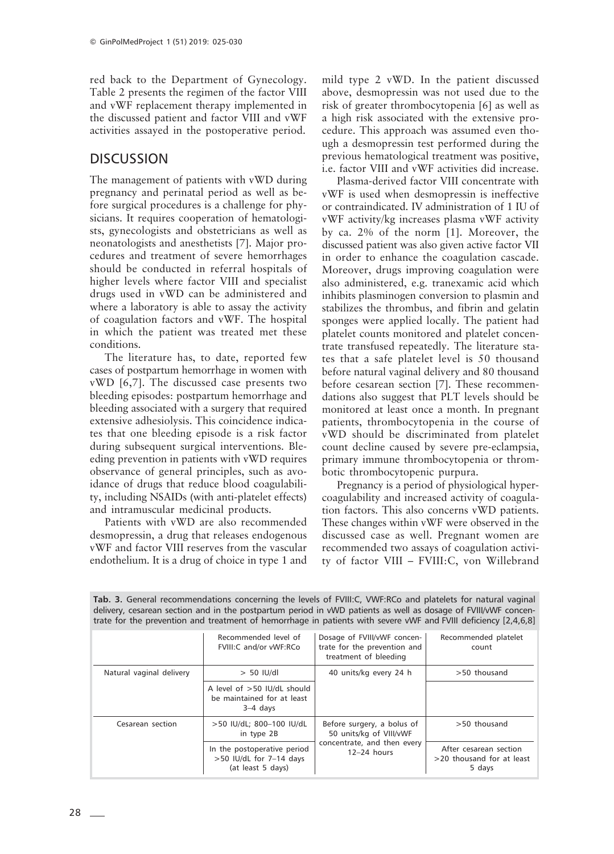red back to the Department of Gynecology. Table 2 presents the regimen of the factor VIII and vWF replacement therapy implemented in the discussed patient and factor VIII and vWF activities assayed in the postoperative period.

## **DISCUSSION**

The management of patients with vWD during pregnancy and perinatal period as well as before surgical procedures is a challenge for physicians. It requires cooperation of hematologists, gynecologists and obstetricians as well as neonatologists and anesthetists [7]. Major procedures and treatment of severe hemorrhages should be conducted in referral hospitals of higher levels where factor VIII and specialist drugs used in vWD can be administered and where a laboratory is able to assay the activity of coagulation factors and vWF. The hospital in which the patient was treated met these conditions.

The literature has, to date, reported few cases of postpartum hemorrhage in women with vWD [6,7]. The discussed case presents two bleeding episodes: postpartum hemorrhage and bleeding associated with a surgery that required extensive adhesiolysis. This coincidence indicates that one bleeding episode is a risk factor during subsequent surgical interventions. Bleeding prevention in patients with vWD requires observance of general principles, such as avoidance of drugs that reduce blood coagulability, including NSAIDs (with anti-platelet effects) and intramuscular medicinal products.

Patients with vWD are also recommended desmopressin, a drug that releases endogenous vWF and factor VIII reserves from the vascular endothelium. It is a drug of choice in type 1 and mild type 2 vWD. In the patient discussed above, desmopressin was not used due to the risk of greater thrombocytopenia [6] as well as a high risk associated with the extensive procedure. This approach was assumed even though a desmopressin test performed during the previous hematological treatment was positive, i.e. factor VIII and vWF activities did increase.

Plasma-derived factor VIII concentrate with vWF is used when desmopressin is ineffective or contraindicated. IV administration of 1 IU of vWF activity/kg increases plasma vWF activity by ca. 2% of the norm [1]. Moreover, the discussed patient was also given active factor VII in order to enhance the coagulation cascade. Moreover, drugs improving coagulation were also administered, e.g. tranexamic acid which inhibits plasminogen conversion to plasmin and stabilizes the thrombus, and fibrin and gelatin sponges were applied locally. The patient had platelet counts monitored and platelet concentrate transfused repeatedly. The literature states that a safe platelet level is 50 thousand before natural vaginal delivery and 80 thousand before cesarean section [7]. These recommendations also suggest that PLT levels should be monitored at least once a month. In pregnant patients, thrombocytopenia in the course of vWD should be discriminated from platelet count decline caused by severe pre-eclampsia, primary immune thrombocytopenia or thrombotic thrombocytopenic purpura.

Pregnancy is a period of physiological hypercoagulability and increased activity of coagulation factors. This also concerns vWD patients. These changes within vWF were observed in the discussed case as well. Pregnant women are recommended two assays of coagulation activity of factor VIII – FVIII:C, von Willebrand

|                          | Recommended level of<br>FVIII:C and/or vWF:RCo                                | Dosage of FVIII/vWF concen-<br>trate for the prevention and<br>treatment of bleeding | Recommended platelet<br>count                                    |
|--------------------------|-------------------------------------------------------------------------------|--------------------------------------------------------------------------------------|------------------------------------------------------------------|
| Natural vaginal delivery | $> 50$ IU/dl                                                                  | 40 units/kg every 24 h                                                               | >50 thousand                                                     |
|                          | A level of $>50$ IU/dL should<br>be maintained for at least<br>$3-4$ days     |                                                                                      |                                                                  |
| Cesarean section         | >50 IU/dL; 800-100 IU/dL<br>in type 2B                                        | Before surgery, a bolus of<br>50 units/kg of VIII/vWF                                | >50 thousand                                                     |
|                          | In the postoperative period<br>$>50$ IU/dL for 7-14 days<br>(at least 5 days) | concentrate, and then every<br>$12-24$ hours                                         | After cesarean section<br>$>$ 20 thousand for at least<br>5 days |

**Tab. 3.** General recommendations concerning the levels of FVIII:C, VWF:RCo and platelets for natural vaginal delivery, cesarean section and in the postpartum period in vWD patients as well as dosage of FVIII/vWF concentrate for the prevention and treatment of hemorrhage in patients with severe vWF and FVIII deficiency [2,4,6,8]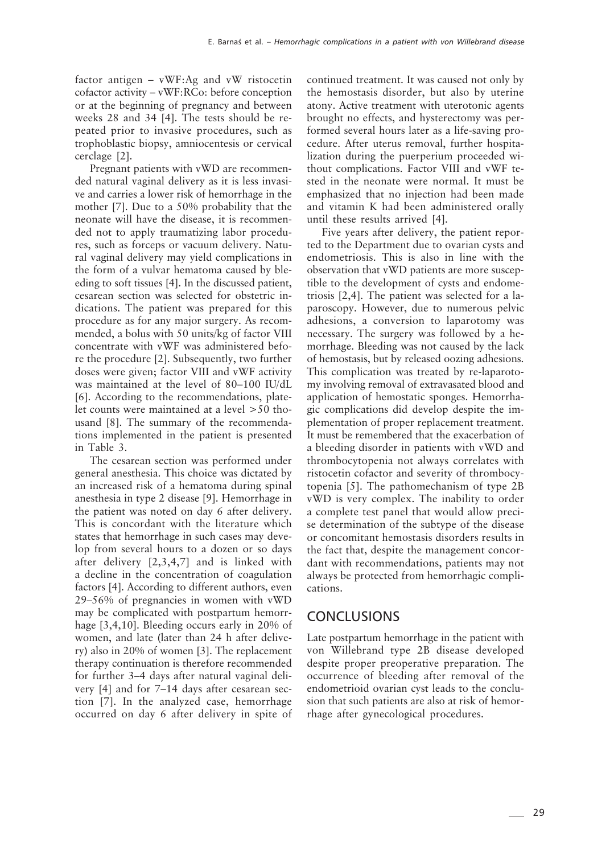factor antigen – vWF:Ag and vW ristocetin cofactor activity – vWF:RCo: before conception or at the beginning of pregnancy and between weeks 28 and 34 [4]. The tests should be repeated prior to invasive procedures, such as trophoblastic biopsy, amniocentesis or cervical cerclage [2].

Pregnant patients with vWD are recommended natural vaginal delivery as it is less invasive and carries a lower risk of hemorrhage in the mother [7]. Due to a 50% probability that the neonate will have the disease, it is recommended not to apply traumatizing labor procedures, such as forceps or vacuum delivery. Natural vaginal delivery may yield complications in the form of a vulvar hematoma caused by bleeding to soft tissues [4]. In the discussed patient, cesarean section was selected for obstetric indications. The patient was prepared for this procedure as for any major surgery. As recommended, a bolus with 50 units/kg of factor VIII concentrate with vWF was administered before the procedure [2]. Subsequently, two further doses were given; factor VIII and vWF activity was maintained at the level of 80–100 IU/dL [6]. According to the recommendations, platelet counts were maintained at a level >50 thousand [8]. The summary of the recommendations implemented in the patient is presented in Table 3.

The cesarean section was performed under general anesthesia. This choice was dictated by an increased risk of a hematoma during spinal anesthesia in type 2 disease [9]. Hemorrhage in the patient was noted on day 6 after delivery. This is concordant with the literature which states that hemorrhage in such cases may develop from several hours to a dozen or so days after delivery [2,3,4,7] and is linked with a decline in the concentration of coagulation factors [4]. According to different authors, even 29–56% of pregnancies in women with vWD may be complicated with postpartum hemorrhage [3,4,10]. Bleeding occurs early in 20% of women, and late (later than 24 h after delivery) also in 20% of women [3]. The replacement therapy continuation is therefore recommended for further 3–4 days after natural vaginal delivery [4] and for 7–14 days after cesarean section [7]. In the analyzed case, hemorrhage occurred on day 6 after delivery in spite of continued treatment. It was caused not only by the hemostasis disorder, but also by uterine atony. Active treatment with uterotonic agents brought no effects, and hysterectomy was performed several hours later as a life-saving procedure. After uterus removal, further hospitalization during the puerperium proceeded without complications. Factor VIII and vWF tested in the neonate were normal. It must be emphasized that no injection had been made and vitamin K had been administered orally until these results arrived [4].

Five years after delivery, the patient reported to the Department due to ovarian cysts and endometriosis. This is also in line with the observation that vWD patients are more susceptible to the development of cysts and endometriosis [2,4]. The patient was selected for a laparoscopy. However, due to numerous pelvic adhesions, a conversion to laparotomy was necessary. The surgery was followed by a hemorrhage. Bleeding was not caused by the lack of hemostasis, but by released oozing adhesions. This complication was treated by re-laparotomy involving removal of extravasated blood and application of hemostatic sponges. Hemorrhagic complications did develop despite the implementation of proper replacement treatment. It must be remembered that the exacerbation of a bleeding disorder in patients with vWD and thrombocytopenia not always correlates with ristocetin cofactor and severity of thrombocytopenia [5]. The pathomechanism of type 2B vWD is very complex. The inability to order a complete test panel that would allow precise determination of the subtype of the disease or concomitant hemostasis disorders results in the fact that, despite the management concordant with recommendations, patients may not always be protected from hemorrhagic complications.

### CONCLUSIONS

Late postpartum hemorrhage in the patient with von Willebrand type 2B disease developed despite proper preoperative preparation. The occurrence of bleeding after removal of the endometrioid ovarian cyst leads to the conclusion that such patients are also at risk of hemorrhage after gynecological procedures.